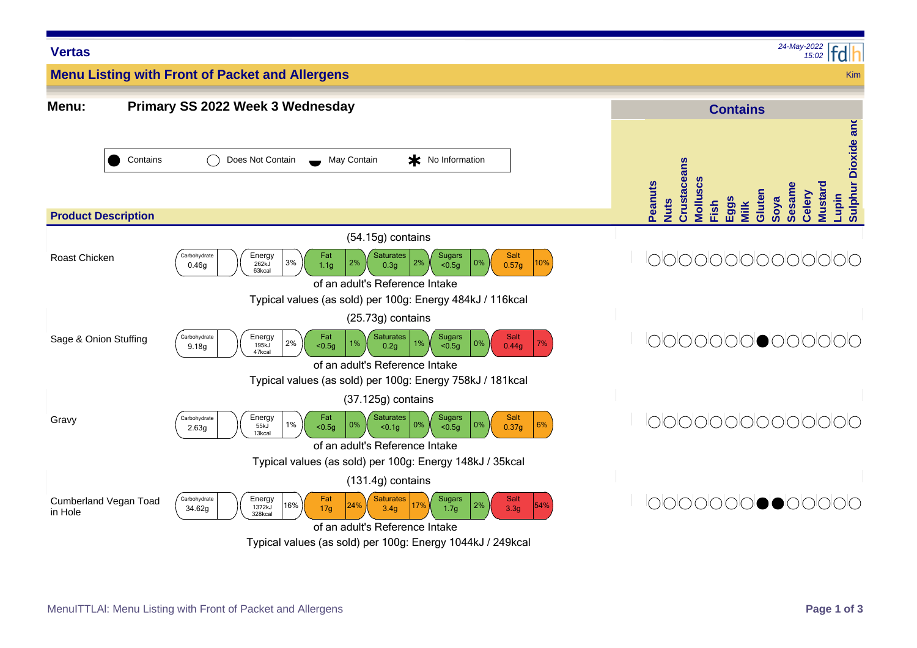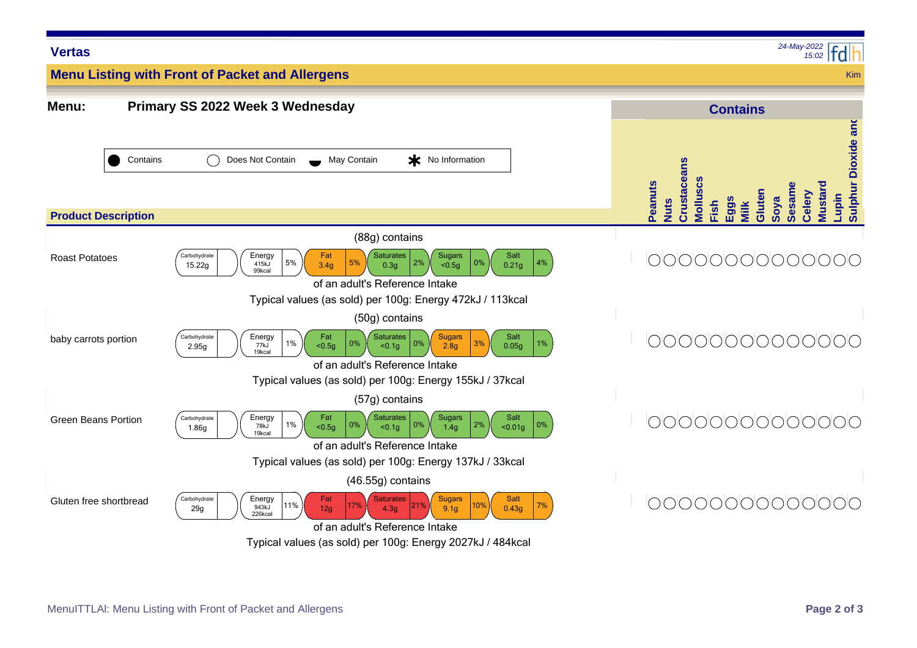